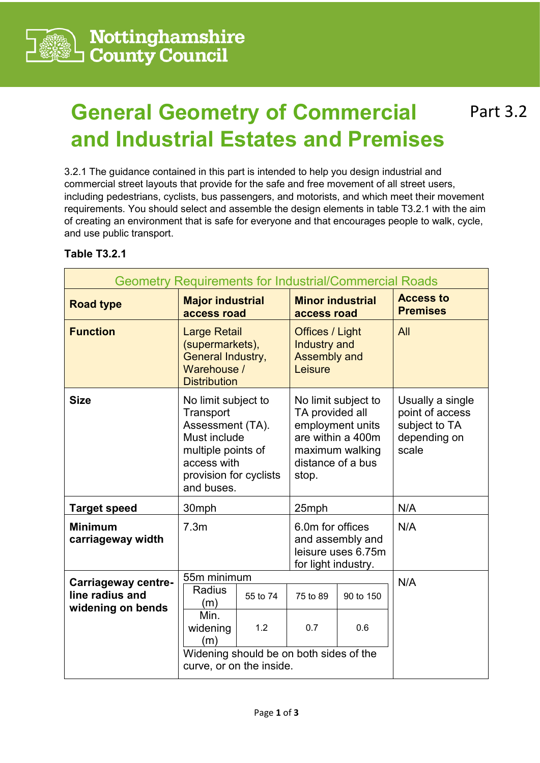

## **General Geometry of Commercial Part 3.2 and Industrial Estates and Premises**

3.2.1 The guidance contained in this part is intended to help you design industrial and commercial street layouts that provide for the safe and free movement of all street users, including pedestrians, cyclists, bus passengers, and motorists, and which meet their movement requirements. You should select and assemble the design elements in table T3.2.1 with the aim of creating an environment that is safe for everyone and that encourages people to walk, cycle, and use public transport.

## **Table T3.2.1**

| <b>Geometry Requirements for Industrial/Commercial Roads</b>       |                                                                                                                                                   |          |                                                                                                                                  |           |                                                                               |  |  |
|--------------------------------------------------------------------|---------------------------------------------------------------------------------------------------------------------------------------------------|----------|----------------------------------------------------------------------------------------------------------------------------------|-----------|-------------------------------------------------------------------------------|--|--|
| <b>Road type</b>                                                   | <b>Major industrial</b><br>access road                                                                                                            |          | <b>Minor industrial</b><br>access road                                                                                           |           | <b>Access to</b><br><b>Premises</b>                                           |  |  |
| <b>Function</b>                                                    | <b>Large Retail</b><br>(supermarkets),<br>General Industry,<br>Warehouse /<br><b>Distribution</b>                                                 |          | <b>Offices / Light</b><br><b>Industry and</b><br><b>Assembly and</b><br>Leisure                                                  |           | All                                                                           |  |  |
| <b>Size</b>                                                        | No limit subject to<br>Transport<br>Assessment (TA).<br>Must include<br>multiple points of<br>access with<br>provision for cyclists<br>and buses. |          | No limit subject to<br>TA provided all<br>employment units<br>are within a 400m<br>maximum walking<br>distance of a bus<br>stop. |           | Usually a single<br>point of access<br>subject to TA<br>depending on<br>scale |  |  |
| <b>Target speed</b>                                                | 30mph                                                                                                                                             |          | 25mph                                                                                                                            |           | N/A                                                                           |  |  |
| <b>Minimum</b><br>carriageway width                                | 7.3 <sub>m</sub>                                                                                                                                  |          | 6.0m for offices<br>and assembly and<br>leisure uses 6.75m<br>for light industry.                                                |           | N/A                                                                           |  |  |
| <b>Carriageway centre-</b><br>line radius and<br>widening on bends | 55m minimum                                                                                                                                       |          |                                                                                                                                  |           | N/A                                                                           |  |  |
|                                                                    | Radius<br>(m)                                                                                                                                     | 55 to 74 | 75 to 89                                                                                                                         | 90 to 150 |                                                                               |  |  |
|                                                                    | Min.<br>widening<br>(m)                                                                                                                           | 1.2      | 0.7                                                                                                                              | 0.6       |                                                                               |  |  |
|                                                                    | Widening should be on both sides of the<br>curve, or on the inside.                                                                               |          |                                                                                                                                  |           |                                                                               |  |  |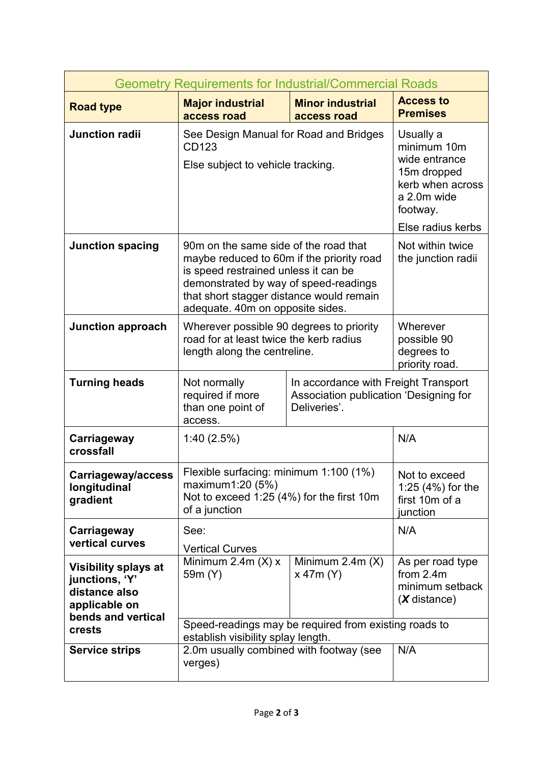| <b>Geometry Requirements for Industrial/Commercial Roads</b>                                          |                                                                                                                                                                                                                                                     |                                                                                                                              |                                                                      |  |  |  |
|-------------------------------------------------------------------------------------------------------|-----------------------------------------------------------------------------------------------------------------------------------------------------------------------------------------------------------------------------------------------------|------------------------------------------------------------------------------------------------------------------------------|----------------------------------------------------------------------|--|--|--|
| <b>Road type</b>                                                                                      | <b>Major industrial</b><br>access road                                                                                                                                                                                                              | <b>Minor industrial</b><br>access road                                                                                       | <b>Access to</b><br><b>Premises</b>                                  |  |  |  |
| <b>Junction radii</b>                                                                                 | See Design Manual for Road and Bridges<br>CD123<br>Else subject to vehicle tracking.                                                                                                                                                                | Usually a<br>minimum 10m<br>wide entrance<br>15m dropped<br>kerb when across<br>a 2.0m wide<br>footway.<br>Else radius kerbs |                                                                      |  |  |  |
| <b>Junction spacing</b>                                                                               | 90m on the same side of the road that<br>maybe reduced to 60m if the priority road<br>is speed restrained unless it can be<br>demonstrated by way of speed-readings<br>that short stagger distance would remain<br>adequate. 40m on opposite sides. | Not within twice<br>the junction radii                                                                                       |                                                                      |  |  |  |
| <b>Junction approach</b>                                                                              | Wherever possible 90 degrees to priority<br>road for at least twice the kerb radius<br>length along the centreline.                                                                                                                                 | Wherever<br>possible 90<br>degrees to<br>priority road.                                                                      |                                                                      |  |  |  |
| <b>Turning heads</b>                                                                                  | Not normally<br>required if more<br>than one point of<br>access.                                                                                                                                                                                    | In accordance with Freight Transport<br>Association publication 'Designing for                                               |                                                                      |  |  |  |
| Carriageway<br>crossfall                                                                              | 1:40(2.5%)                                                                                                                                                                                                                                          | N/A                                                                                                                          |                                                                      |  |  |  |
| Carriageway/access<br>longitudinal<br>gradient                                                        | Flexible surfacing: minimum 1:100 (1%)<br>maximum1:20 (5%)<br>Not to exceed 1:25 (4%) for the first 10m<br>of a junction                                                                                                                            | Not to exceed<br>1:25 (4%) for the<br>first 10m of a<br>junction                                                             |                                                                      |  |  |  |
| Carriageway<br>vertical curves                                                                        | See:<br><b>Vertical Curves</b>                                                                                                                                                                                                                      |                                                                                                                              | N/A                                                                  |  |  |  |
| <b>Visibility splays at</b><br>junctions, 'Y'<br>distance also<br>applicable on<br>bends and vertical | Minimum 2.4m $(X)$ x<br>59m (Y)                                                                                                                                                                                                                     | Minimum $2.4m(X)$<br>$x$ 47 $m(Y)$                                                                                           | As per road type<br>from $2.4m$<br>minimum setback<br>$(X$ distance) |  |  |  |
| crests                                                                                                | Speed-readings may be required from existing roads to<br>establish visibility splay length.                                                                                                                                                         |                                                                                                                              |                                                                      |  |  |  |
| <b>Service strips</b>                                                                                 | 2.0m usually combined with footway (see<br>verges)                                                                                                                                                                                                  | N/A                                                                                                                          |                                                                      |  |  |  |